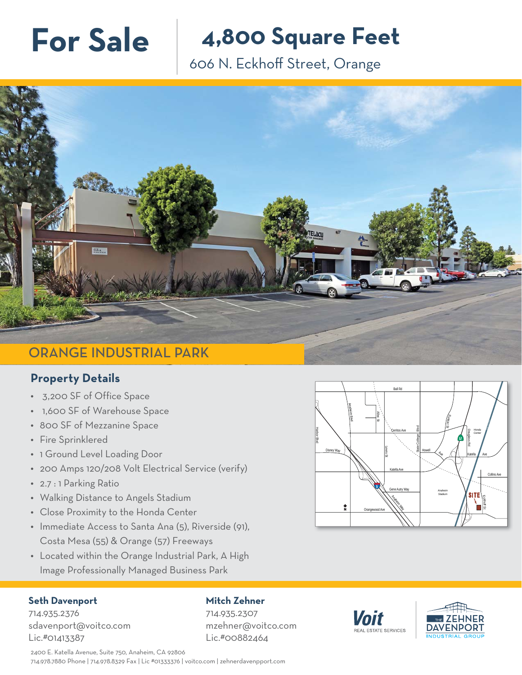**For Sale 4,800 Square Feet**

606 N. Eckhoff Street, Orange



## **Property Details**

- 3,200 SF of Office Space
- 1,600 SF of Warehouse Space
- 800 SF of Mezzanine Space
- Fire Sprinklered
- 1 Ground Level Loading Door
- 200 Amps 120/208 Volt Electrical Service (verify)
- 2.7 : 1 Parking Ratio
- Walking Distance to Angels Stadium
- Close Proximity to the Honda Center
- Immediate Access to Santa Ana (5), Riverside (91), Costa Mesa (55) & Orange (57) Freeways
- Located within the Orange Industrial Park, A High Image Professionally Managed Business Park

## **Seth Davenport**

## **Mitch Zehner**

714.935.2376 sdavenport@voitco.com Lic.#01413387

714.935.2307 mzehner@voitco.com Lic.#00882464



Voit EAL ESTATE SERVICES



2400 E. Katella Avenue, Suite 750, Anaheim, CA 92806 714.978.7880 Phone | 714.978.8329 Fax | Lic #01333376 | voitco.com | zehnerdavenpport.com